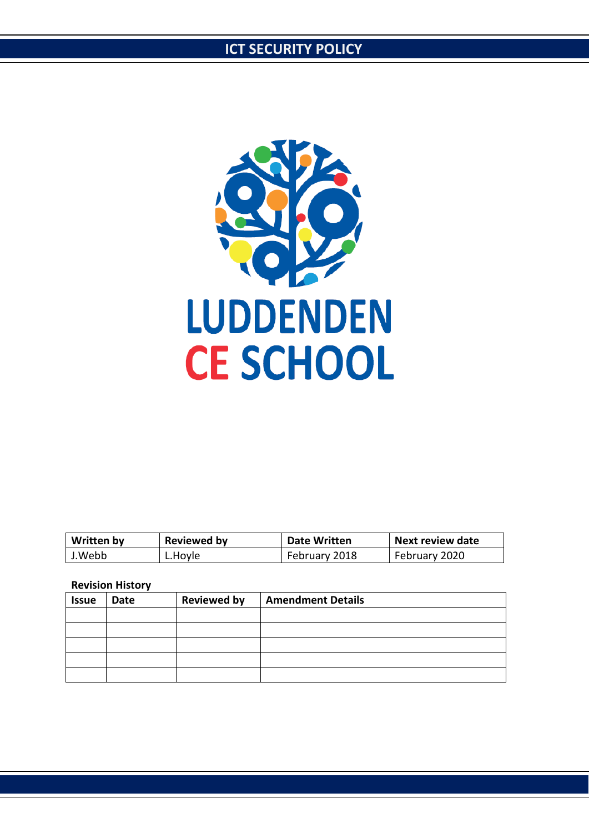

| <b>Written by</b> | <b>Reviewed by</b> | <b>Date Written</b> | Next review date |
|-------------------|--------------------|---------------------|------------------|
| J.Webb            | ∟.Hoyle            | February 2018       | February 2020    |

#### **Revision History**

| <b>Issue</b> | <b>Date</b> | <b>Reviewed by</b> | <b>Amendment Details</b> |
|--------------|-------------|--------------------|--------------------------|
|              |             |                    |                          |
|              |             |                    |                          |
|              |             |                    |                          |
|              |             |                    |                          |
|              |             |                    |                          |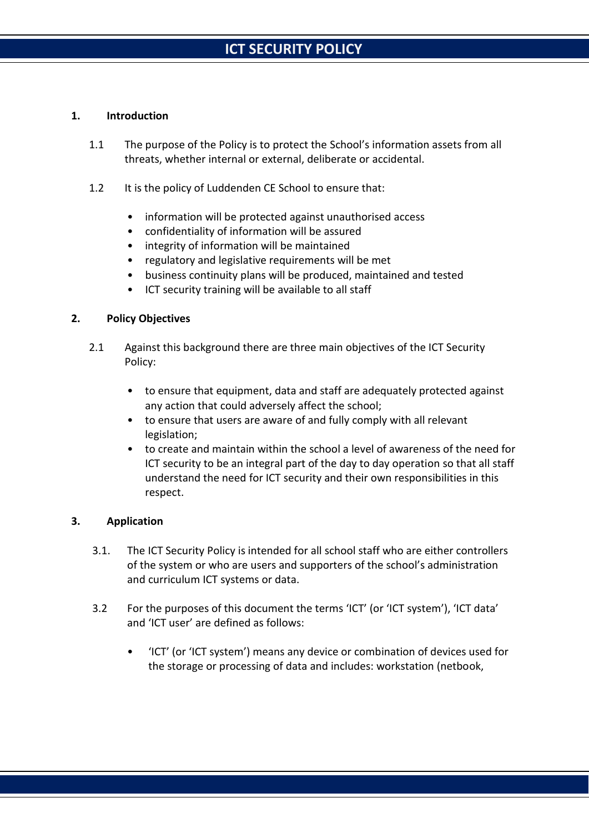#### **1. Introduction**

- 1.1 The purpose of the Policy is to protect the School's information assets from all threats, whether internal or external, deliberate or accidental.
- 1.2 It is the policy of Luddenden CE School to ensure that:
	- information will be protected against unauthorised access
	- confidentiality of information will be assured
	- integrity of information will be maintained
	- regulatory and legislative requirements will be met
	- business continuity plans will be produced, maintained and tested
	- ICT security training will be available to all staff

#### **2. Policy Objectives**

- 2.1 Against this background there are three main objectives of the ICT Security Policy:
	- to ensure that equipment, data and staff are adequately protected against any action that could adversely affect the school;
	- to ensure that users are aware of and fully comply with all relevant legislation;
	- to create and maintain within the school a level of awareness of the need for ICT security to be an integral part of the day to day operation so that all staff understand the need for ICT security and their own responsibilities in this respect.

### **3. Application**

- 3.1. The ICT Security Policy is intended for all school staff who are either controllers of the system or who are users and supporters of the school's administration and curriculum ICT systems or data.
- 3.2 For the purposes of this document the terms 'ICT' (or 'ICT system'), 'ICT data' and 'ICT user' are defined as follows:
	- 'ICT' (or 'ICT system') means any device or combination of devices used for the storage or processing of data and includes: workstation (netbook,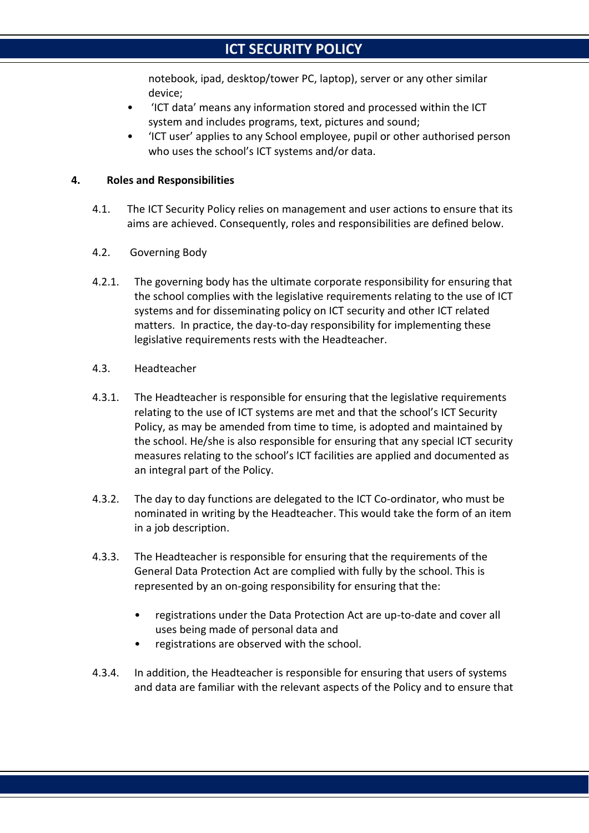notebook, ipad, desktop/tower PC, laptop), server or any other similar device;

- 'ICT data' means any information stored and processed within the ICT system and includes programs, text, pictures and sound;
- 'ICT user' applies to any School employee, pupil or other authorised person who uses the school's ICT systems and/or data.

#### **4. Roles and Responsibilities**

- 4.1. The ICT Security Policy relies on management and user actions to ensure that its aims are achieved. Consequently, roles and responsibilities are defined below.
- 4.2. Governing Body
- 4.2.1. The governing body has the ultimate corporate responsibility for ensuring that the school complies with the legislative requirements relating to the use of ICT systems and for disseminating policy on ICT security and other ICT related matters. In practice, the day-to-day responsibility for implementing these legislative requirements rests with the Headteacher.
- 4.3. Headteacher
- 4.3.1. The Headteacher is responsible for ensuring that the legislative requirements relating to the use of ICT systems are met and that the school's ICT Security Policy, as may be amended from time to time, is adopted and maintained by the school. He/she is also responsible for ensuring that any special ICT security measures relating to the school's ICT facilities are applied and documented as an integral part of the Policy.
- 4.3.2. The day to day functions are delegated to the ICT Co-ordinator, who must be nominated in writing by the Headteacher. This would take the form of an item in a job description.
- 4.3.3. The Headteacher is responsible for ensuring that the requirements of the General Data Protection Act are complied with fully by the school. This is represented by an on-going responsibility for ensuring that the:
	- registrations under the Data Protection Act are up-to-date and cover all uses being made of personal data and
	- registrations are observed with the school.
- 4.3.4. In addition, the Headteacher is responsible for ensuring that users of systems and data are familiar with the relevant aspects of the Policy and to ensure that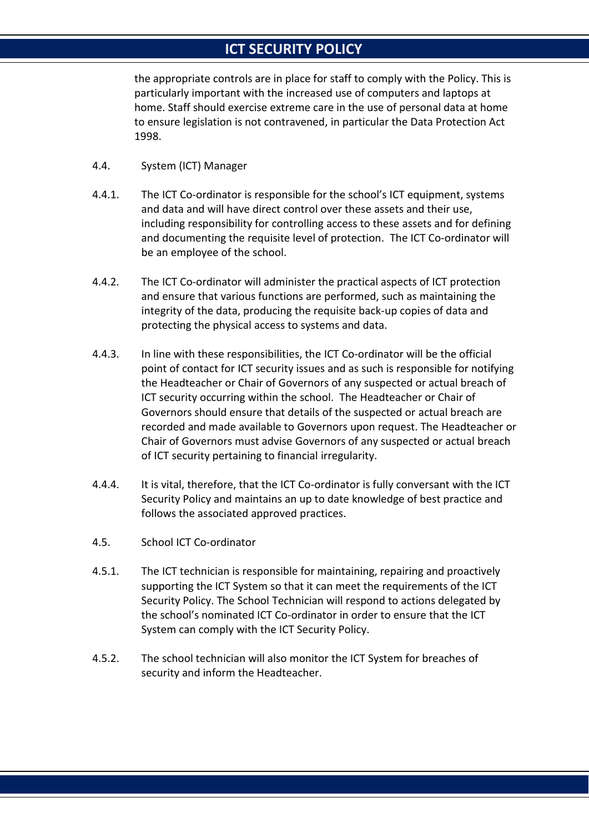the appropriate controls are in place for staff to comply with the Policy. This is particularly important with the increased use of computers and laptops at home. Staff should exercise extreme care in the use of personal data at home to ensure legislation is not contravened, in particular the Data Protection Act 1998.

- 4.4. System (ICT) Manager
- 4.4.1. The ICT Co-ordinator is responsible for the school's ICT equipment, systems and data and will have direct control over these assets and their use, including responsibility for controlling access to these assets and for defining and documenting the requisite level of protection. The ICT Co-ordinator will be an employee of the school.
- 4.4.2. The ICT Co-ordinator will administer the practical aspects of ICT protection and ensure that various functions are performed, such as maintaining the integrity of the data, producing the requisite back-up copies of data and protecting the physical access to systems and data.
- 4.4.3. In line with these responsibilities, the ICT Co-ordinator will be the official point of contact for ICT security issues and as such is responsible for notifying the Headteacher or Chair of Governors of any suspected or actual breach of ICT security occurring within the school. The Headteacher or Chair of Governors should ensure that details of the suspected or actual breach are recorded and made available to Governors upon request. The Headteacher or Chair of Governors must advise Governors of any suspected or actual breach of ICT security pertaining to financial irregularity.
- 4.4.4. It is vital, therefore, that the ICT Co-ordinator is fully conversant with the ICT Security Policy and maintains an up to date knowledge of best practice and follows the associated approved practices.
- 4.5. School ICT Co-ordinator
- 4.5.1. The ICT technician is responsible for maintaining, repairing and proactively supporting the ICT System so that it can meet the requirements of the ICT Security Policy. The School Technician will respond to actions delegated by the school's nominated ICT Co-ordinator in order to ensure that the ICT System can comply with the ICT Security Policy.
- 4.5.2. The school technician will also monitor the ICT System for breaches of security and inform the Headteacher.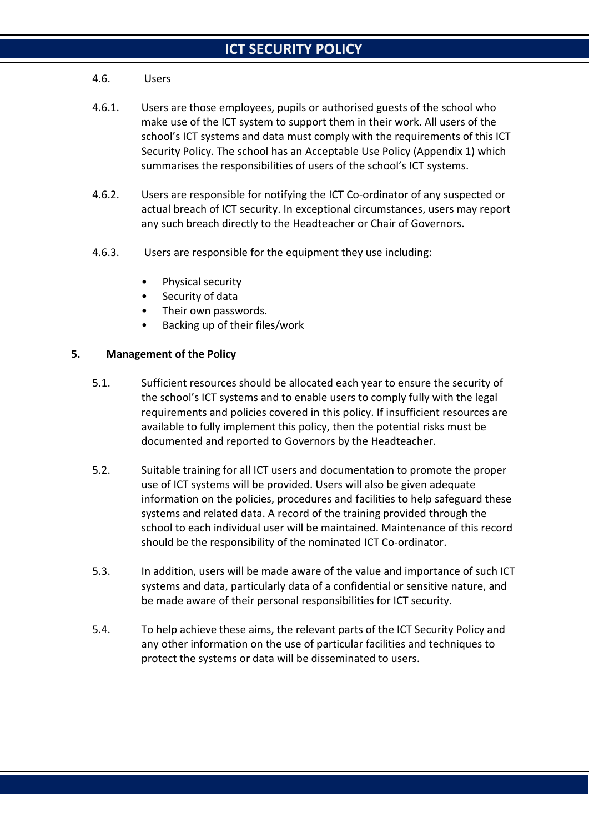#### 4.6. Users

- 4.6.1. Users are those employees, pupils or authorised guests of the school who make use of the ICT system to support them in their work. All users of the school's ICT systems and data must comply with the requirements of this ICT Security Policy. The school has an Acceptable Use Policy (Appendix 1) which summarises the responsibilities of users of the school's ICT systems.
- 4.6.2. Users are responsible for notifying the ICT Co-ordinator of any suspected or actual breach of ICT security. In exceptional circumstances, users may report any such breach directly to the Headteacher or Chair of Governors.
- 4.6.3. Users are responsible for the equipment they use including:
	- Physical security
	- Security of data
	- Their own passwords.
	- Backing up of their files/work

### **5. Management of the Policy**

- 5.1. Sufficient resources should be allocated each year to ensure the security of the school's ICT systems and to enable users to comply fully with the legal requirements and policies covered in this policy. If insufficient resources are available to fully implement this policy, then the potential risks must be documented and reported to Governors by the Headteacher.
- 5.2. Suitable training for all ICT users and documentation to promote the proper use of ICT systems will be provided. Users will also be given adequate information on the policies, procedures and facilities to help safeguard these systems and related data. A record of the training provided through the school to each individual user will be maintained. Maintenance of this record should be the responsibility of the nominated ICT Co-ordinator.
- 5.3. In addition, users will be made aware of the value and importance of such ICT systems and data, particularly data of a confidential or sensitive nature, and be made aware of their personal responsibilities for ICT security.
- 5.4. To help achieve these aims, the relevant parts of the ICT Security Policy and any other information on the use of particular facilities and techniques to protect the systems or data will be disseminated to users.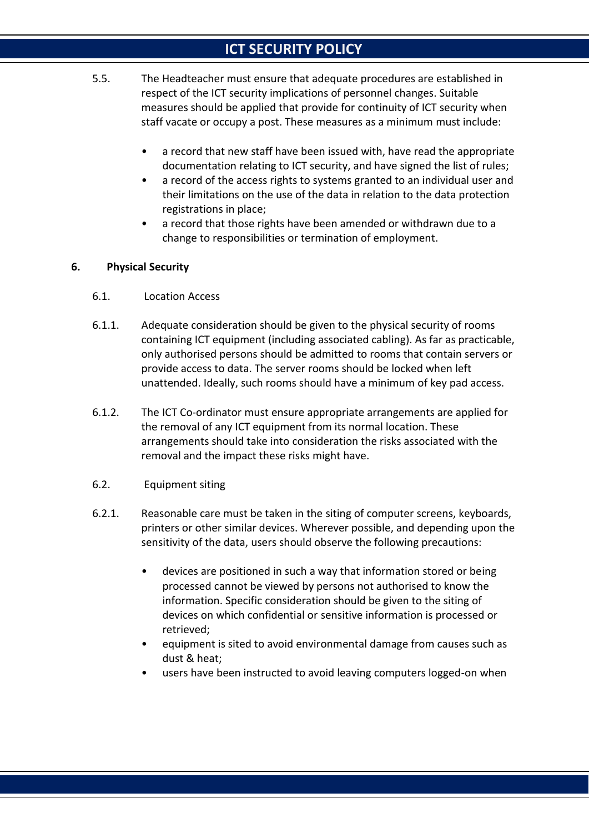- 5.5. The Headteacher must ensure that adequate procedures are established in respect of the ICT security implications of personnel changes. Suitable measures should be applied that provide for continuity of ICT security when staff vacate or occupy a post. These measures as a minimum must include:
	- a record that new staff have been issued with, have read the appropriate documentation relating to ICT security, and have signed the list of rules;
	- a record of the access rights to systems granted to an individual user and their limitations on the use of the data in relation to the data protection registrations in place;
	- a record that those rights have been amended or withdrawn due to a change to responsibilities or termination of employment.

#### **6. Physical Security**

- 6.1. Location Access
- 6.1.1. Adequate consideration should be given to the physical security of rooms containing ICT equipment (including associated cabling). As far as practicable, only authorised persons should be admitted to rooms that contain servers or provide access to data. The server rooms should be locked when left unattended. Ideally, such rooms should have a minimum of key pad access.
- 6.1.2. The ICT Co-ordinator must ensure appropriate arrangements are applied for the removal of any ICT equipment from its normal location. These arrangements should take into consideration the risks associated with the removal and the impact these risks might have.
- 6.2. Equipment siting
- 6.2.1. Reasonable care must be taken in the siting of computer screens, keyboards, printers or other similar devices. Wherever possible, and depending upon the sensitivity of the data, users should observe the following precautions:
	- devices are positioned in such a way that information stored or being processed cannot be viewed by persons not authorised to know the information. Specific consideration should be given to the siting of devices on which confidential or sensitive information is processed or retrieved;
	- equipment is sited to avoid environmental damage from causes such as dust & heat;
	- users have been instructed to avoid leaving computers logged-on when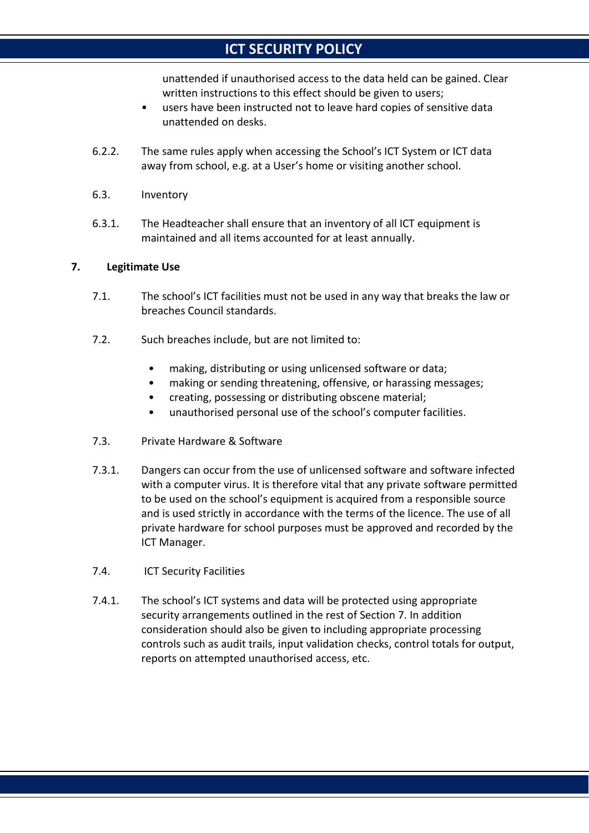unattended if unauthorised access to the data held can be gained. Clear written instructions to this effect should be given to users;

- users have been instructed not to leave hard copies of sensitive data unattended on desks.
- 6.2.2. The same rules apply when accessing the School's ICT System or ICT data away from school, e.g. at a User's home or visiting another school.
- 6.3. Inventory
- 6.3.1. The Headteacher shall ensure that an inventory of all ICT equipment is maintained and all items accounted for at least annually.

#### **7. Legitimate Use**

- 7.1. The school's ICT facilities must not be used in any way that breaks the law or breaches Council standards.
- 7.2. Such breaches include, but are not limited to:
	- making, distributing or using unlicensed software or data;
	- making or sending threatening, offensive, or harassing messages;
	- creating, possessing or distributing obscene material;
	- unauthorised personal use of the school's computer facilities.
- 7.3. Private Hardware & Software
- 7.3.1. Dangers can occur from the use of unlicensed software and software infected with a computer virus. It is therefore vital that any private software permitted to be used on the school's equipment is acquired from a responsible source and is used strictly in accordance with the terms of the licence. The use of all private hardware for school purposes must be approved and recorded by the ICT Manager.
- 7.4. ICT Security Facilities
- 7.4.1. The school's ICT systems and data will be protected using appropriate security arrangements outlined in the rest of Section 7. In addition consideration should also be given to including appropriate processing controls such as audit trails, input validation checks, control totals for output, reports on attempted unauthorised access, etc.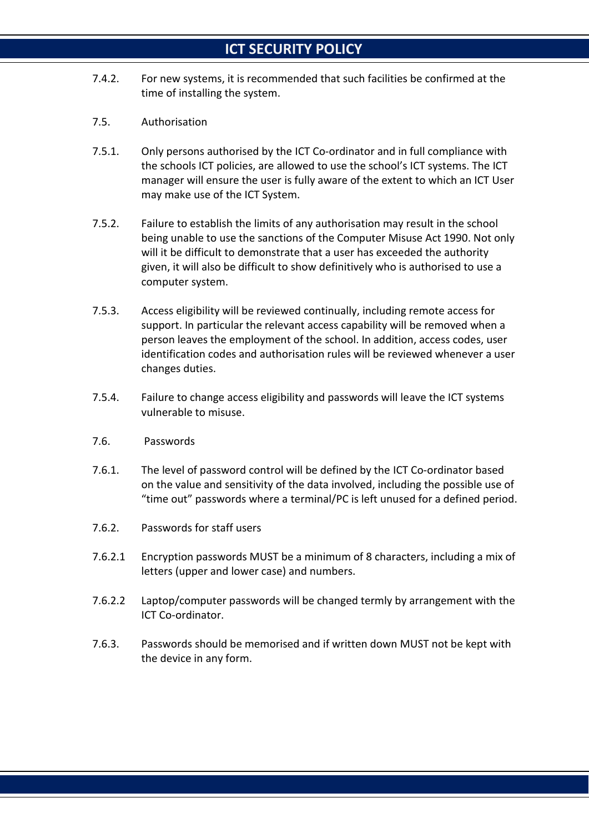- 7.4.2. For new systems, it is recommended that such facilities be confirmed at the time of installing the system.
- 7.5. Authorisation
- 7.5.1. Only persons authorised by the ICT Co-ordinator and in full compliance with the schools ICT policies, are allowed to use the school's ICT systems. The ICT manager will ensure the user is fully aware of the extent to which an ICT User may make use of the ICT System.
- 7.5.2. Failure to establish the limits of any authorisation may result in the school being unable to use the sanctions of the Computer Misuse Act 1990. Not only will it be difficult to demonstrate that a user has exceeded the authority given, it will also be difficult to show definitively who is authorised to use a computer system.
- 7.5.3. Access eligibility will be reviewed continually, including remote access for support. In particular the relevant access capability will be removed when a person leaves the employment of the school. In addition, access codes, user identification codes and authorisation rules will be reviewed whenever a user changes duties.
- 7.5.4. Failure to change access eligibility and passwords will leave the ICT systems vulnerable to misuse.
- 7.6. Passwords
- 7.6.1. The level of password control will be defined by the ICT Co-ordinator based on the value and sensitivity of the data involved, including the possible use of "time out" passwords where a terminal/PC is left unused for a defined period.
- 7.6.2. Passwords for staff users
- 7.6.2.1 Encryption passwords MUST be a minimum of 8 characters, including a mix of letters (upper and lower case) and numbers.
- 7.6.2.2 Laptop/computer passwords will be changed termly by arrangement with the ICT Co-ordinator.
- 7.6.3. Passwords should be memorised and if written down MUST not be kept with the device in any form.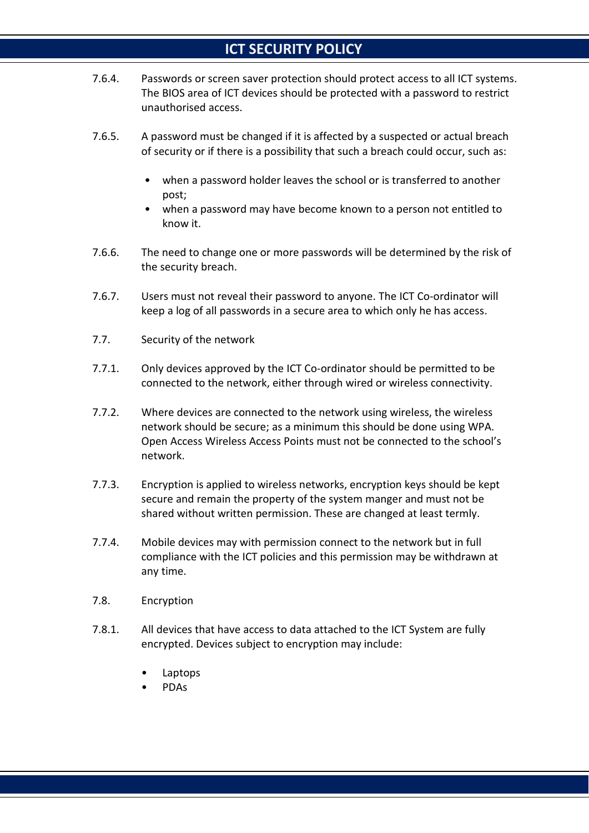- 7.6.4. Passwords or screen saver protection should protect access to all ICT systems. The BIOS area of ICT devices should be protected with a password to restrict unauthorised access.
- 7.6.5. A password must be changed if it is affected by a suspected or actual breach of security or if there is a possibility that such a breach could occur, such as:
	- when a password holder leaves the school or is transferred to another post;
	- when a password may have become known to a person not entitled to know it.
- 7.6.6. The need to change one or more passwords will be determined by the risk of the security breach.
- 7.6.7. Users must not reveal their password to anyone. The ICT Co-ordinator will keep a log of all passwords in a secure area to which only he has access.
- 7.7. Security of the network
- 7.7.1. Only devices approved by the ICT Co-ordinator should be permitted to be connected to the network, either through wired or wireless connectivity.
- 7.7.2. Where devices are connected to the network using wireless, the wireless network should be secure; as a minimum this should be done using WPA. Open Access Wireless Access Points must not be connected to the school's network.
- 7.7.3. Encryption is applied to wireless networks, encryption keys should be kept secure and remain the property of the system manger and must not be shared without written permission. These are changed at least termly.
- 7.7.4. Mobile devices may with permission connect to the network but in full compliance with the ICT policies and this permission may be withdrawn at any time.
- 7.8. Encryption
- 7.8.1. All devices that have access to data attached to the ICT System are fully encrypted. Devices subject to encryption may include:
	- Laptops
	- PDAs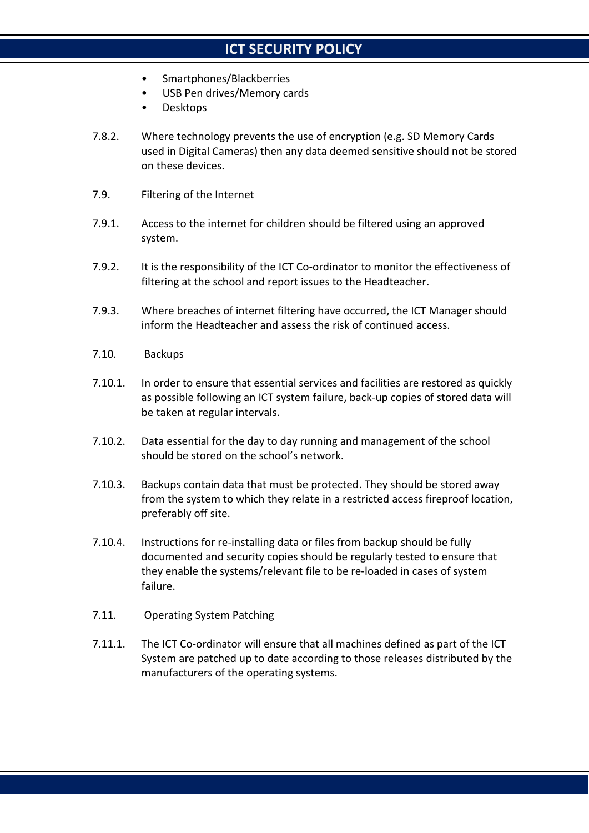- Smartphones/Blackberries
- USB Pen drives/Memory cards
- Desktops
- 7.8.2. Where technology prevents the use of encryption (e.g. SD Memory Cards used in Digital Cameras) then any data deemed sensitive should not be stored on these devices.
- 7.9. Filtering of the Internet
- 7.9.1. Access to the internet for children should be filtered using an approved system.
- 7.9.2. It is the responsibility of the ICT Co-ordinator to monitor the effectiveness of filtering at the school and report issues to the Headteacher.
- 7.9.3. Where breaches of internet filtering have occurred, the ICT Manager should inform the Headteacher and assess the risk of continued access.
- 7.10. Backups
- 7.10.1. In order to ensure that essential services and facilities are restored as quickly as possible following an ICT system failure, back-up copies of stored data will be taken at regular intervals.
- 7.10.2. Data essential for the day to day running and management of the school should be stored on the school's network.
- 7.10.3. Backups contain data that must be protected. They should be stored away from the system to which they relate in a restricted access fireproof location, preferably off site.
- 7.10.4. Instructions for re-installing data or files from backup should be fully documented and security copies should be regularly tested to ensure that they enable the systems/relevant file to be re-loaded in cases of system failure.
- 7.11. Operating System Patching
- 7.11.1. The ICT Co-ordinator will ensure that all machines defined as part of the ICT System are patched up to date according to those releases distributed by the manufacturers of the operating systems.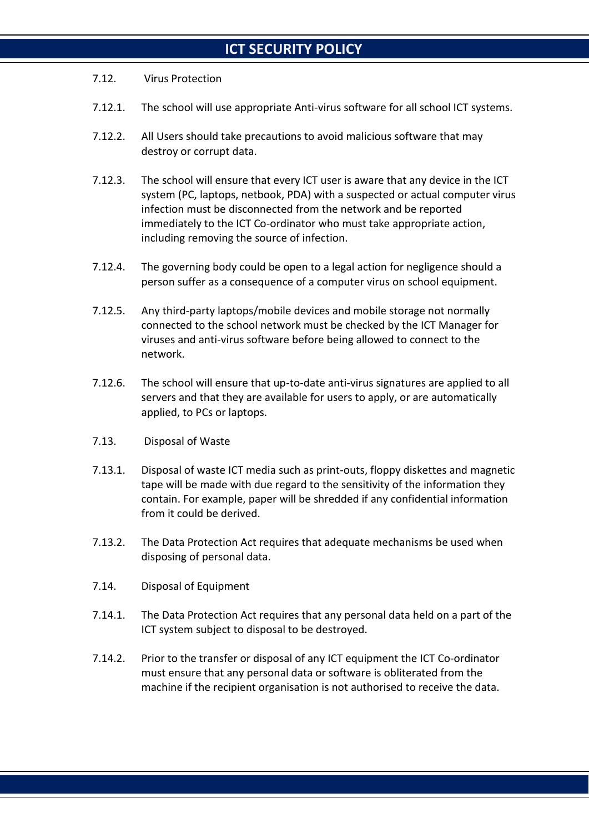#### 7.12. Virus Protection

- 7.12.1. The school will use appropriate Anti-virus software for all school ICT systems.
- 7.12.2. All Users should take precautions to avoid malicious software that may destroy or corrupt data.
- 7.12.3. The school will ensure that every ICT user is aware that any device in the ICT system (PC, laptops, netbook, PDA) with a suspected or actual computer virus infection must be disconnected from the network and be reported immediately to the ICT Co-ordinator who must take appropriate action, including removing the source of infection.
- 7.12.4. The governing body could be open to a legal action for negligence should a person suffer as a consequence of a computer virus on school equipment.
- 7.12.5. Any third-party laptops/mobile devices and mobile storage not normally connected to the school network must be checked by the ICT Manager for viruses and anti-virus software before being allowed to connect to the network.
- 7.12.6. The school will ensure that up-to-date anti-virus signatures are applied to all servers and that they are available for users to apply, or are automatically applied, to PCs or laptops.
- 7.13. Disposal of Waste
- 7.13.1. Disposal of waste ICT media such as print-outs, floppy diskettes and magnetic tape will be made with due regard to the sensitivity of the information they contain. For example, paper will be shredded if any confidential information from it could be derived.
- 7.13.2. The Data Protection Act requires that adequate mechanisms be used when disposing of personal data.
- 7.14. Disposal of Equipment
- 7.14.1. The Data Protection Act requires that any personal data held on a part of the ICT system subject to disposal to be destroyed.
- 7.14.2. Prior to the transfer or disposal of any ICT equipment the ICT Co-ordinator must ensure that any personal data or software is obliterated from the machine if the recipient organisation is not authorised to receive the data.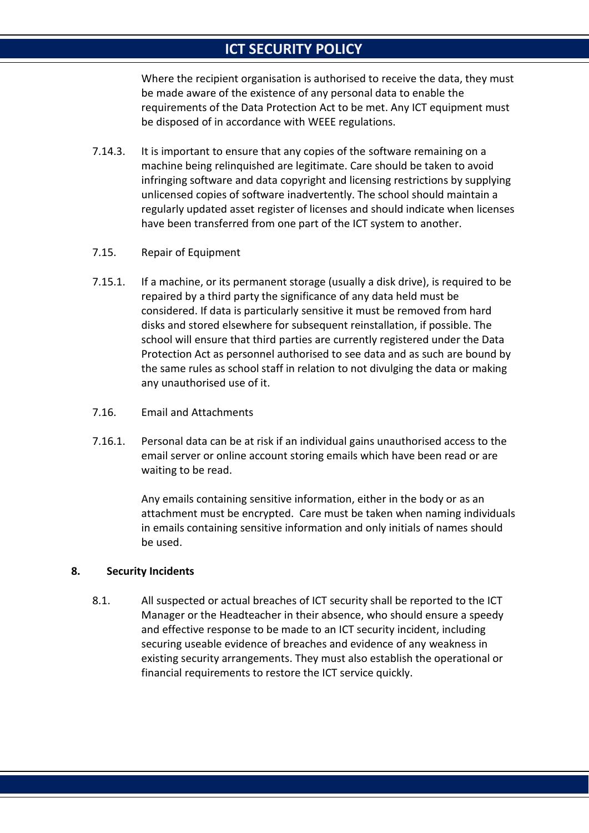Where the recipient organisation is authorised to receive the data, they must be made aware of the existence of any personal data to enable the requirements of the Data Protection Act to be met. Any ICT equipment must be disposed of in accordance with WEEE regulations.

- 7.14.3. It is important to ensure that any copies of the software remaining on a machine being relinquished are legitimate. Care should be taken to avoid infringing software and data copyright and licensing restrictions by supplying unlicensed copies of software inadvertently. The school should maintain a regularly updated asset register of licenses and should indicate when licenses have been transferred from one part of the ICT system to another.
- 7.15. Repair of Equipment
- 7.15.1. If a machine, or its permanent storage (usually a disk drive), is required to be repaired by a third party the significance of any data held must be considered. If data is particularly sensitive it must be removed from hard disks and stored elsewhere for subsequent reinstallation, if possible. The school will ensure that third parties are currently registered under the Data Protection Act as personnel authorised to see data and as such are bound by the same rules as school staff in relation to not divulging the data or making any unauthorised use of it.
- 7.16. Email and Attachments
- 7.16.1. Personal data can be at risk if an individual gains unauthorised access to the email server or online account storing emails which have been read or are waiting to be read.

Any emails containing sensitive information, either in the body or as an attachment must be encrypted. Care must be taken when naming individuals in emails containing sensitive information and only initials of names should be used.

#### **8. Security Incidents**

8.1. All suspected or actual breaches of ICT security shall be reported to the ICT Manager or the Headteacher in their absence, who should ensure a speedy and effective response to be made to an ICT security incident, including securing useable evidence of breaches and evidence of any weakness in existing security arrangements. They must also establish the operational or financial requirements to restore the ICT service quickly.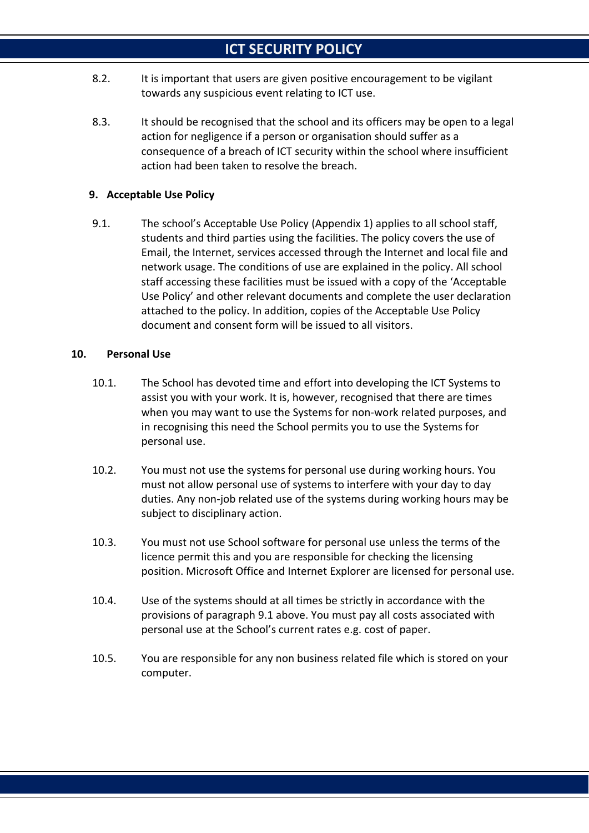- 8.2. It is important that users are given positive encouragement to be vigilant towards any suspicious event relating to ICT use.
- 8.3. It should be recognised that the school and its officers may be open to a legal action for negligence if a person or organisation should suffer as a consequence of a breach of ICT security within the school where insufficient action had been taken to resolve the breach.

### **9. Acceptable Use Policy**

9.1. The school's Acceptable Use Policy (Appendix 1) applies to all school staff, students and third parties using the facilities. The policy covers the use of Email, the Internet, services accessed through the Internet and local file and network usage. The conditions of use are explained in the policy. All school staff accessing these facilities must be issued with a copy of the 'Acceptable Use Policy' and other relevant documents and complete the user declaration attached to the policy. In addition, copies of the Acceptable Use Policy document and consent form will be issued to all visitors.

#### **10. Personal Use**

- 10.1. The School has devoted time and effort into developing the ICT Systems to assist you with your work. It is, however, recognised that there are times when you may want to use the Systems for non-work related purposes, and in recognising this need the School permits you to use the Systems for personal use.
- 10.2. You must not use the systems for personal use during working hours. You must not allow personal use of systems to interfere with your day to day duties. Any non-job related use of the systems during working hours may be subject to disciplinary action.
- 10.3. You must not use School software for personal use unless the terms of the licence permit this and you are responsible for checking the licensing position. Microsoft Office and Internet Explorer are licensed for personal use.
- 10.4. Use of the systems should at all times be strictly in accordance with the provisions of paragraph 9.1 above. You must pay all costs associated with personal use at the School's current rates e.g. cost of paper.
- 10.5. You are responsible for any non business related file which is stored on your computer.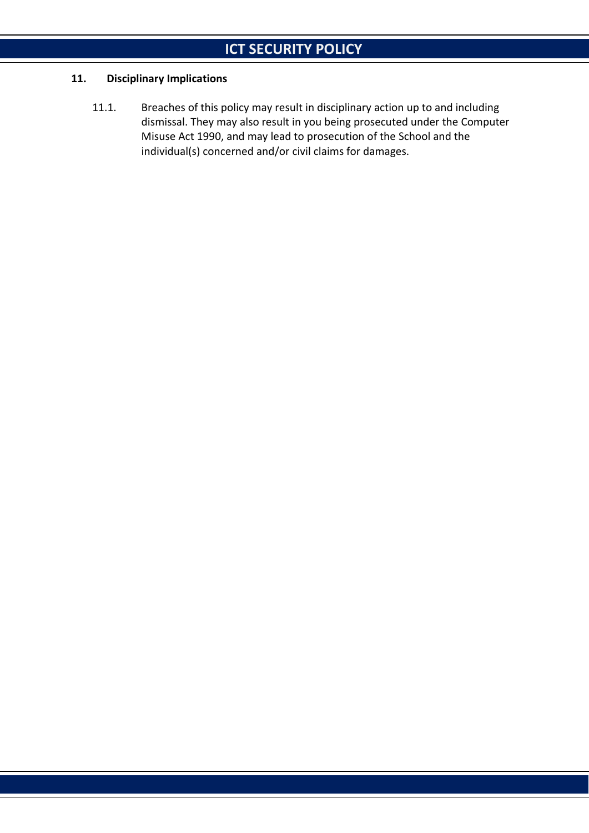### **11. Disciplinary Implications**

11.1. Breaches of this policy may result in disciplinary action up to and including dismissal. They may also result in you being prosecuted under the Computer Misuse Act 1990, and may lead to prosecution of the School and the individual(s) concerned and/or civil claims for damages.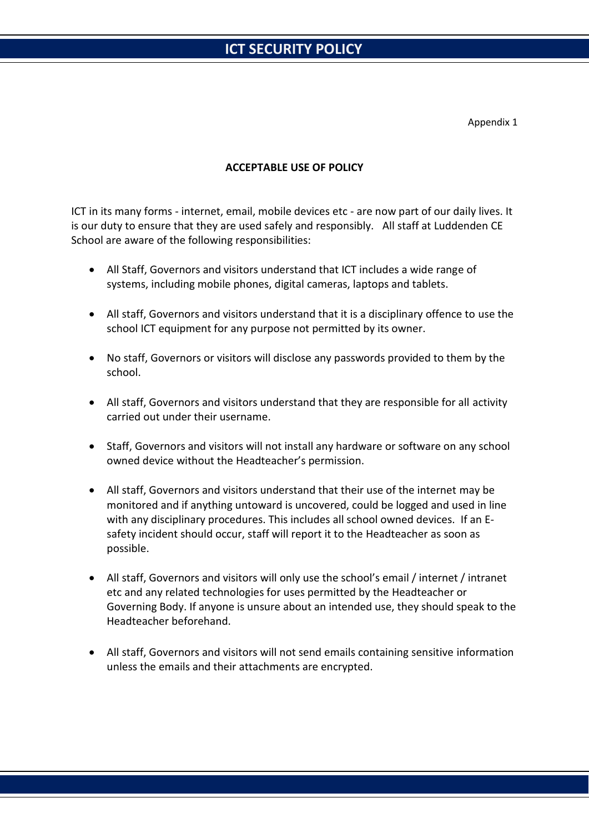Appendix 1

#### **ACCEPTABLE USE OF POLICY**

ICT in its many forms - internet, email, mobile devices etc - are now part of our daily lives. It is our duty to ensure that they are used safely and responsibly. All staff at Luddenden CE School are aware of the following responsibilities:

- All Staff, Governors and visitors understand that ICT includes a wide range of systems, including mobile phones, digital cameras, laptops and tablets.
- All staff, Governors and visitors understand that it is a disciplinary offence to use the school ICT equipment for any purpose not permitted by its owner.
- No staff, Governors or visitors will disclose any passwords provided to them by the school.
- All staff, Governors and visitors understand that they are responsible for all activity carried out under their username.
- Staff, Governors and visitors will not install any hardware or software on any school owned device without the Headteacher's permission.
- All staff, Governors and visitors understand that their use of the internet may be monitored and if anything untoward is uncovered, could be logged and used in line with any disciplinary procedures. This includes all school owned devices. If an Esafety incident should occur, staff will report it to the Headteacher as soon as possible.
- All staff, Governors and visitors will only use the school's email / internet / intranet etc and any related technologies for uses permitted by the Headteacher or Governing Body. If anyone is unsure about an intended use, they should speak to the Headteacher beforehand.
- All staff, Governors and visitors will not send emails containing sensitive information unless the emails and their attachments are encrypted.